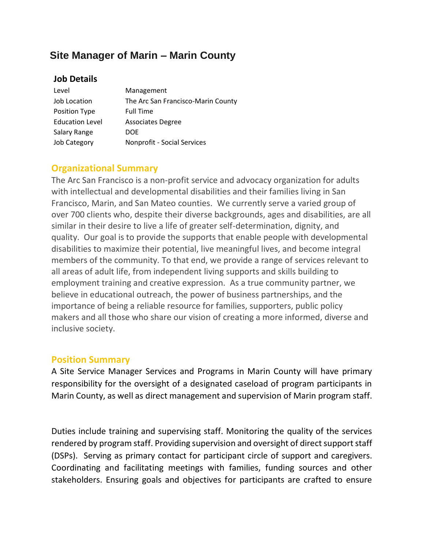# **Site Manager of Marin – Marin County**

## **Job Details**

| Level                  | Management                         |
|------------------------|------------------------------------|
| Job Location           | The Arc San Francisco-Marin County |
| Position Type          | <b>Full Time</b>                   |
| <b>Education Level</b> | <b>Associates Degree</b>           |
| Salary Range           | <b>DOE</b>                         |
| Job Category           | Nonprofit - Social Services        |

## **Organizational Summary**

The Arc San Francisco is a non-profit service and advocacy organization for adults with intellectual and developmental disabilities and their families living in San Francisco, Marin, and San Mateo counties. We currently serve a varied group of over 700 clients who, despite their diverse backgrounds, ages and disabilities, are all similar in their desire to live a life of greater self-determination, dignity, and quality. Our goal is to provide the supports that enable people with developmental disabilities to maximize their potential, live meaningful lives, and become integral members of the community. To that end, we provide a range of services relevant to all areas of adult life, from independent living supports and skills building to employment training and creative expression. As a true community partner, we believe in educational outreach, the power of business partnerships, and the importance of being a reliable resource for families, supporters, public policy makers and all those who share our vision of creating a more informed, diverse and inclusive society.

## **Position Summary**

A Site Service Manager Services and Programs in Marin County will have primary responsibility for the oversight of a designated caseload of program participants in Marin County, as well as direct management and supervision of Marin program staff.

Duties include training and supervising staff. Monitoring the quality of the services rendered by program staff. Providing supervision and oversight of direct support staff (DSPs). Serving as primary contact for participant circle of support and caregivers. Coordinating and facilitating meetings with families, funding sources and other stakeholders. Ensuring goals and objectives for participants are crafted to ensure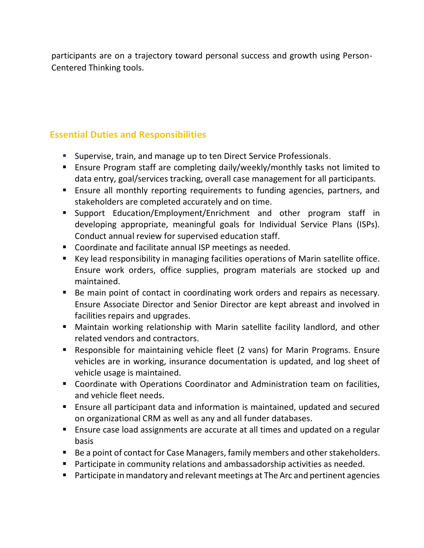participants are on a trajectory toward personal success and growth using Person-Centered Thinking tools.

## **Essential Duties and Responsibilities**

- Supervise, train, and manage up to ten Direct Service Professionals.
- Ensure Program staff are completing daily/weekly/monthly tasks not limited to data entry, goal/services tracking, overall case management for all participants.
- Ensure all monthly reporting requirements to funding agencies, partners, and stakeholders are completed accurately and on time.
- Support Education/Employment/Enrichment and other program staff in developing appropriate, meaningful goals for Individual Service Plans (ISPs). Conduct annual review for supervised education staff.
- Coordinate and facilitate annual ISP meetings as needed.
- Key lead responsibility in managing facilities operations of Marin satellite office. Ensure work orders, office supplies, program materials are stocked up and maintained.
- Be main point of contact in coordinating work orders and repairs as necessary. Ensure Associate Director and Senior Director are kept abreast and involved in facilities repairs and upgrades.
- Maintain working relationship with Marin satellite facility landlord, and other related vendors and contractors.
- Responsible for maintaining vehicle fleet (2 vans) for Marin Programs. Ensure vehicles are in working, insurance documentation is updated, and log sheet of vehicle usage is maintained.
- Coordinate with Operations Coordinator and Administration team on facilities, and vehicle fleet needs.
- Ensure all participant data and information is maintained, updated and secured on organizational CRM as well as any and all funder databases.
- Ensure case load assignments are accurate at all times and updated on a regular basis
- Be a point of contact for Case Managers, family members and other stakeholders.
- Participate in community relations and ambassadorship activities as needed.
- Participate in mandatory and relevant meetings at The Arc and pertinent agencies